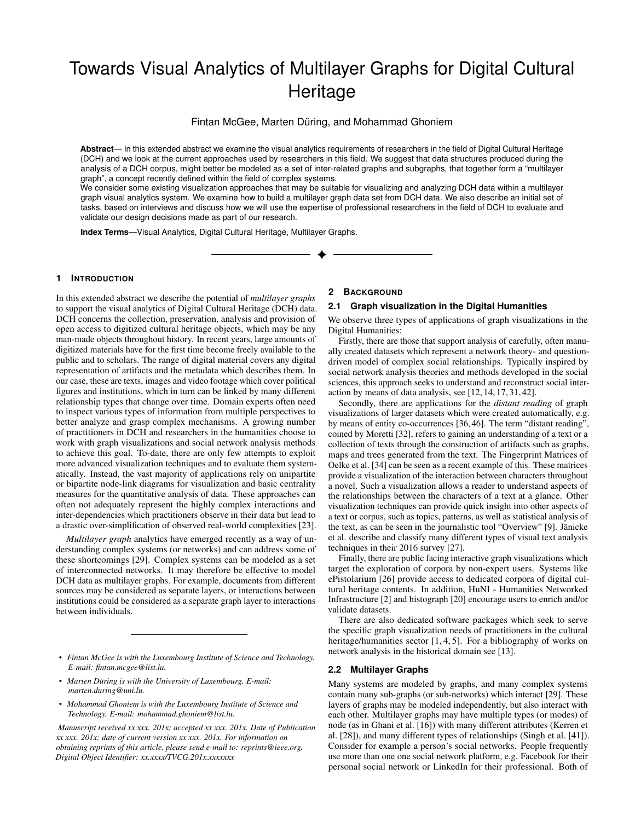# Towards Visual Analytics of Multilayer Graphs for Digital Cultural **Heritage**

Fintan McGee, Marten Düring, and Mohammad Ghoniem

**Abstract**— In this extended abstract we examine the visual analytics requirements of researchers in the field of Digital Cultural Heritage (DCH) and we look at the current approaches used by researchers in this field. We suggest that data structures produced during the analysis of a DCH corpus, might better be modeled as a set of inter-related graphs and subgraphs, that together form a "multilayer graph", a concept recently defined within the field of complex systems.

We consider some existing visualization approaches that may be suitable for visualizing and analyzing DCH data within a multilayer graph visual analytics system. We examine how to build a multilayer graph data set from DCH data. We also describe an initial set of tasks, based on interviews and discuss how we will use the expertise of professional researchers in the field of DCH to evaluate and validate our design decisions made as part of our research.

**Index Terms**—Visual Analytics, Digital Cultural Heritage, Multilayer Graphs.

#### **1 INTRODUCTION**

In this extended abstract we describe the potential of *multilayer graphs* to support the visual analytics of Digital Cultural Heritage (DCH) data. DCH concerns the collection, preservation, analysis and provision of open access to digitized cultural heritage objects, which may be any man-made objects throughout history. In recent years, large amounts of digitized materials have for the first time become freely available to the public and to scholars. The range of digital material covers any digital representation of artifacts and the metadata which describes them. In our case, these are texts, images and video footage which cover political figures and institutions, which in turn can be linked by many different relationship types that change over time. Domain experts often need to inspect various types of information from multiple perspectives to better analyze and grasp complex mechanisms. A growing number of practitioners in DCH and researchers in the humanities choose to work with graph visualizations and social network analysis methods to achieve this goal. To-date, there are only few attempts to exploit more advanced visualization techniques and to evaluate them systematically. Instead, the vast majority of applications rely on unipartite or bipartite node-link diagrams for visualization and basic centrality measures for the quantitative analysis of data. These approaches can often not adequately represent the highly complex interactions and inter-dependencies which practitioners observe in their data but lead to a drastic over-simplification of observed real-world complexities [\[23\]](#page-3-0).

*Multilayer graph* analytics have emerged recently as a way of understanding complex systems (or networks) and can address some of these shortcomings [\[29\]](#page-3-1). Complex systems can be modeled as a set of interconnected networks. It may therefore be effective to model DCH data as multilayer graphs. For example, documents from different sources may be considered as separate layers, or interactions between institutions could be considered as a separate graph layer to interactions between individuals.

- *Fintan McGee is with the Luxembourg Institute of Science and Technology. E-mail: fintan.mcgee@list.lu.*
- *Marten During is with the University of Luxembourg. E-mail: ¨ marten.during@uni.lu.*
- *Mohammad Ghoniem is with the Luxembourg Institute of Science and Technology. E-mail: mohammad.ghoniem@list.lu.*

*Manuscript received xx xxx. 201x; accepted xx xxx. 201x. Date of Publication xx xxx. 201x; date of current version xx xxx. 201x. For information on obtaining reprints of this article, please send e-mail to: reprints@ieee.org. Digital Object Identifier: xx.xxxx/TVCG.201x.xxxxxxx*

#### **2 BACKGROUND**

## **2.1 Graph visualization in the Digital Humanities**

We observe three types of applications of graph visualizations in the Digital Humanities:

Firstly, there are those that support analysis of carefully, often manually created datasets which represent a network theory- and questiondriven model of complex social relationships. Typically inspired by social network analysis theories and methods developed in the social sciences, this approach seeks to understand and reconstruct social interaction by means of data analysis, see [\[12,](#page-3-2) [14,](#page-3-3) [17,](#page-3-4) [31,](#page-3-5) [42\]](#page-3-6).

Secondly, there are applications for the *distant reading* of graph visualizations of larger datasets which were created automatically, e.g. by means of entity co-occurrences [\[36,](#page-3-7) [46\]](#page-4-0). The term "distant reading", coined by Moretti [\[32\]](#page-3-8), refers to gaining an understanding of a text or a collection of texts through the construction of artifacts such as graphs, maps and trees generated from the text. The Fingerprint Matrices of Oelke et al. [\[34\]](#page-3-9) can be seen as a recent example of this. These matrices provide a visualization of the interaction between characters throughout a novel. Such a visualization allows a reader to understand aspects of the relationships between the characters of a text at a glance. Other visualization techniques can provide quick insight into other aspects of a text or corpus, such as topics, patterns, as well as statistical analysis of the text, as can be seen in the journalistic tool "Overview" [\[9\]](#page-3-10). Janicke ¨ et al. describe and classify many different types of visual text analysis techniques in their 2016 survey [\[27\]](#page-3-11).

Finally, there are public facing interactive graph visualizations which target the exploration of corpora by non-expert users. Systems like ePistolarium [\[26\]](#page-3-12) provide access to dedicated corpora of digital cultural heritage contents. In addition, HuNI - Humanities Networked Infrastructure [\[2\]](#page-3-13) and histograph [\[20\]](#page-3-14) encourage users to enrich and/or validate datasets.

There are also dedicated software packages which seek to serve the specific graph visualization needs of practitioners in the cultural heritage/humanities sector [\[1,](#page-3-15) [4,](#page-3-16) [5\]](#page-3-17). For a bibliography of works on network analysis in the historical domain see [\[13\]](#page-3-18).

#### **2.2 Multilayer Graphs**

Many systems are modeled by graphs, and many complex systems contain many sub-graphs (or sub-networks) which interact [\[29\]](#page-3-1). These layers of graphs may be modeled independently, but also interact with each other. Multilayer graphs may have multiple types (or modes) of node (as in Ghani et al. [\[16\]](#page-3-19)) with many different attributes (Kerren et al. [\[28\]](#page-3-20)), and many different types of relationships (Singh et al. [\[41\]](#page-3-21)). Consider for example a person's social networks. People frequently use more than one one social network platform, e.g. Facebook for their personal social network or LinkedIn for their professional. Both of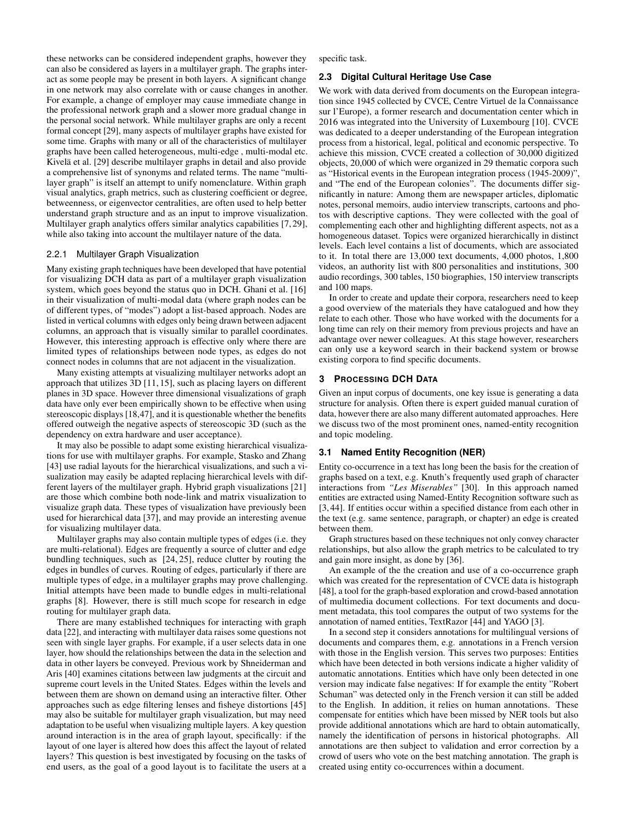these networks can be considered independent graphs, however they can also be considered as layers in a multilayer graph. The graphs interact as some people may be present in both layers. A significant change in one network may also correlate with or cause changes in another. For example, a change of employer may cause immediate change in the professional network graph and a slower more gradual change in the personal social network. While multilayer graphs are only a recent formal concept [\[29\]](#page-3-1), many aspects of multilayer graphs have existed for some time. Graphs with many or all of the characteristics of multilayer graphs have been called heterogeneous, multi-edge , multi-modal etc. Kivelä et al. [\[29\]](#page-3-1) describe multilayer graphs in detail and also provide a comprehensive list of synonyms and related terms. The name "multilayer graph" is itself an attempt to unify nomenclature. Within graph visual analytics, graph metrics, such as clustering coefficient or degree, betweenness, or eigenvector centralities, are often used to help better understand graph structure and as an input to improve visualization. Multilayer graph analytics offers similar analytics capabilities [\[7,](#page-3-22) [29\]](#page-3-1), while also taking into account the multilayer nature of the data.

#### 2.2.1 Multilayer Graph Visualization

Many existing graph techniques have been developed that have potential for visualizing DCH data as part of a multilayer graph visualization system, which goes beyond the status quo in DCH. Ghani et al. [\[16\]](#page-3-19) in their visualization of multi-modal data (where graph nodes can be of different types, of "modes") adopt a list-based approach. Nodes are listed in vertical columns with edges only being drawn between adjacent columns, an approach that is visually similar to parallel coordinates. However, this interesting approach is effective only where there are limited types of relationships between node types, as edges do not connect nodes in columns that are not adjacent in the visualization.

Many existing attempts at visualizing multilayer networks adopt an approach that utilizes 3D [\[11,](#page-3-23) [15\]](#page-3-24), such as placing layers on different planes in 3D space. However three dimensional visualizations of graph data have only ever been empirically shown to be effective when using stereoscopic displays [\[18](#page-3-25)[,47\]](#page-4-1), and it is questionable whether the benefits offered outweigh the negative aspects of stereoscopic 3D (such as the dependency on extra hardware and user acceptance).

It may also be possible to adapt some existing hierarchical visualizations for use with multilayer graphs. For example, Stasko and Zhang [\[43\]](#page-4-2) use radial layouts for the hierarchical visualizations, and such a visualization may easily be adapted replacing hierarchical levels with different layers of the multilayer graph. Hybrid graph visualizations [\[21\]](#page-3-26) are those which combine both node-link and matrix visualization to visualize graph data. These types of visualization have previously been used for hierarchical data [\[37\]](#page-3-27), and may provide an interesting avenue for visualizing multilayer data.

Multilayer graphs may also contain multiple types of edges (i.e. they are multi-relational). Edges are frequently a source of clutter and edge bundling techniques, such as [\[24,](#page-3-28) [25\]](#page-3-29), reduce clutter by routing the edges in bundles of curves. Routing of edges, particularly if there are multiple types of edge, in a multilayer graphs may prove challenging. Initial attempts have been made to bundle edges in multi-relational graphs [\[8\]](#page-3-30). However, there is still much scope for research in edge routing for multilayer graph data.

There are many established techniques for interacting with graph data [\[22\]](#page-3-31), and interacting with multilayer data raises some questions not seen with single layer graphs. For example, if a user selects data in one layer, how should the relationships between the data in the selection and data in other layers be conveyed. Previous work by Shneiderman and Aris [\[40\]](#page-3-32) examines citations between law judgments at the circuit and supreme court levels in the United States. Edges within the levels and between them are shown on demand using an interactive filter. Other approaches such as edge filtering lenses and fisheye distortions [\[45\]](#page-4-3) may also be suitable for multilayer graph visualization, but may need adaptation to be useful when visualizing multiple layers. A key question around interaction is in the area of graph layout, specifically: if the layout of one layer is altered how does this affect the layout of related layers? This question is best investigated by focusing on the tasks of end users, as the goal of a good layout is to facilitate the users at a specific task.

#### **2.3 Digital Cultural Heritage Use Case**

We work with data derived from documents on the European integration since 1945 collected by CVCE, Centre Virtuel de la Connaissance sur l'Europe), a former research and documentation center which in 2016 was integrated into the University of Luxembourg [\[10\]](#page-3-33). CVCE was dedicated to a deeper understanding of the European integration process from a historical, legal, political and economic perspective. To achieve this mission, CVCE created a collection of 30,000 digitized objects, 20,000 of which were organized in 29 thematic corpora such as "Historical events in the European integration process (1945-2009)", and "The end of the European colonies". The documents differ significantly in nature: Among them are newspaper articles, diplomatic notes, personal memoirs, audio interview transcripts, cartoons and photos with descriptive captions. They were collected with the goal of complementing each other and highlighting different aspects, not as a homogeneous dataset. Topics were organized hierarchically in distinct levels. Each level contains a list of documents, which are associated to it. In total there are 13,000 text documents, 4,000 photos, 1,800 videos, an authority list with 800 personalities and institutions, 300 audio recordings, 300 tables, 150 biographies, 150 interview transcripts and 100 maps.

In order to create and update their corpora, researchers need to keep a good overview of the materials they have catalogued and how they relate to each other. Those who have worked with the documents for a long time can rely on their memory from previous projects and have an advantage over newer colleagues. At this stage however, researchers can only use a keyword search in their backend system or browse existing corpora to find specific documents.

#### **3 PROCESSING DCH DATA**

Given an input corpus of documents, one key issue is generating a data structure for analysis. Often there is expert guided manual curation of data, however there are also many different automated approaches. Here we discuss two of the most prominent ones, named-entity recognition and topic modeling.

## **3.1 Named Entity Recognition (NER)**

Entity co-occurrence in a text has long been the basis for the creation of graphs based on a text, e.g. Knuth's frequently used graph of character interactions from *"Les Miserables"* [\[30\]](#page-3-34). In this approach named entities are extracted using Named-Entity Recognition software such as [\[3,](#page-3-35) [44\]](#page-4-4). If entities occur within a specified distance from each other in the text (e.g. same sentence, paragraph, or chapter) an edge is created between them.

Graph structures based on these techniques not only convey character relationships, but also allow the graph metrics to be calculated to try and gain more insight, as done by [\[36\]](#page-3-7).

An example of the the creation and use of a co-occurrence graph which was created for the representation of CVCE data is histograph [\[48\]](#page-4-5), a tool for the graph-based exploration and crowd-based annotation of multimedia document collections. For text documents and document metadata, this tool compares the output of two systems for the annotation of named entities, TextRazor [\[44\]](#page-4-4) and YAGO [\[3\]](#page-3-35).

In a second step it considers annotations for multilingual versions of documents and compares them, e.g. annotations in a French version with those in the English version. This serves two purposes: Entities which have been detected in both versions indicate a higher validity of automatic annotations. Entities which have only been detected in one version may indicate false negatives: If for example the entity "Robert Schuman" was detected only in the French version it can still be added to the English. In addition, it relies on human annotations. These compensate for entities which have been missed by NER tools but also provide additional annotations which are hard to obtain automatically, namely the identification of persons in historical photographs. All annotations are then subject to validation and error correction by a crowd of users who vote on the best matching annotation. The graph is created using entity co-occurrences within a document.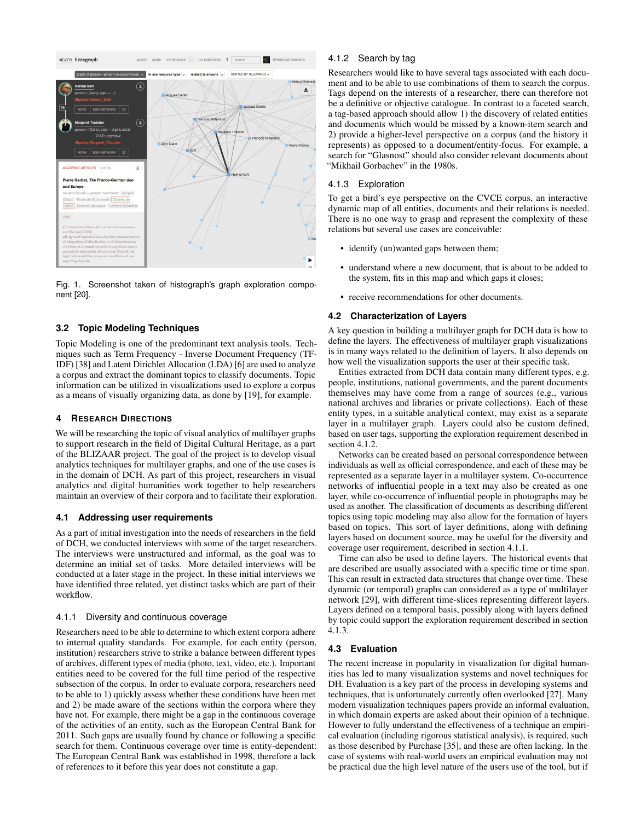

Fig. 1. Screenshot taken of histograph's graph exploration component [\[20\]](#page-3-14).

## **3.2 Topic Modeling Techniques**

Topic Modeling is one of the predominant text analysis tools. Techniques such as Term Frequency - Inverse Document Frequency (TF-IDF) [\[38\]](#page-3-36) and Latent Dirichlet Allocation (LDA) [\[6\]](#page-3-37) are used to analyze a corpus and extract the dominant topics to classify documents. Topic information can be utilized in visualizations used to explore a corpus as a means of visually organizing data, as done by [\[19\]](#page-3-38), for example.

#### **4 RESEARCH DIRECTIONS**

We will be researching the topic of visual analytics of multilayer graphs to support research in the field of Digital Cultural Heritage, as a part of the BLIZAAR project. The goal of the project is to develop visual analytics techniques for multilayer graphs, and one of the use cases is in the domain of DCH. As part of this project, researchers in visual analytics and digital humanities work together to help researchers maintain an overview of their corpora and to facilitate their exploration.

## **4.1 Addressing user requirements**

As a part of initial investigation into the needs of researchers in the field of DCH, we conducted interviews with some of the target researchers. The interviews were unstructured and informal, as the goal was to determine an initial set of tasks. More detailed interviews will be conducted at a later stage in the project. In these initial interviews we have identified three related, yet distinct tasks which are part of their workflow.

#### <span id="page-2-1"></span>4.1.1 Diversity and continuous coverage

Researchers need to be able to determine to which extent corpora adhere to internal quality standards. For example, for each entity (person, institution) researchers strive to strike a balance between different types of archives, different types of media (photo, text, video, etc.). Important entities need to be covered for the full time period of the respective subsection of the corpus. In order to evaluate corpora, researchers need to be able to 1) quickly assess whether these conditions have been met and 2) be made aware of the sections within the corpora where they have not. For example, there might be a gap in the continuous coverage of the activities of an entity, such as the European Central Bank for 2011. Such gaps are usually found by chance or following a specific search for them. Continuous coverage over time is entity-dependent: The European Central Bank was established in 1998, therefore a lack of references to it before this year does not constitute a gap.

## <span id="page-2-0"></span>4.1.2 Search by tag

Researchers would like to have several tags associated with each document and to be able to use combinations of them to search the corpus. Tags depend on the interests of a researcher, there can therefore not be a definitive or objective catalogue. In contrast to a faceted search, a tag-based approach should allow 1) the discovery of related entities and documents which would be missed by a known-item search and 2) provide a higher-level perspective on a corpus (and the history it represents) as opposed to a document/entity-focus. For example, a search for "Glasnost" should also consider relevant documents about "Mikhail Gorbachev" in the 1980s.

### <span id="page-2-2"></span>4.1.3 Exploration

To get a bird's eye perspective on the CVCE corpus, an interactive dynamic map of all entities, documents and their relations is needed. There is no one way to grasp and represent the complexity of these relations but several use cases are conceivable:

- identify (un)wanted gaps between them;
- understand where a new document, that is about to be added to the system, fits in this map and which gaps it closes;
- receive recommendations for other documents.

## **4.2 Characterization of Layers**

A key question in building a multilayer graph for DCH data is how to define the layers. The effectiveness of multilayer graph visualizations is in many ways related to the definition of layers. It also depends on how well the visualization supports the user at their specific task.

Entities extracted from DCH data contain many different types, e.g. people, institutions, national governments, and the parent documents themselves may have come from a range of sources (e.g., various national archives and libraries or private collections). Each of these entity types, in a suitable analytical context, may exist as a separate layer in a multilayer graph. Layers could also be custom defined, based on user tags, supporting the exploration requirement described in section [4.1.2.](#page-2-0)

Networks can be created based on personal correspondence between individuals as well as official correspondence, and each of these may be represented as a separate layer in a multilayer system. Co-occurrence networks of influential people in a text may also be created as one layer, while co-occurrence of influential people in photographs may be used as another. The classification of documents as describing different topics using topic modeling may also allow for the formation of layers based on topics. This sort of layer definitions, along with defining layers based on document source, may be useful for the diversity and coverage user requirement, described in section [4.1.1.](#page-2-1)

Time can also be used to define layers. The historical events that are described are usually associated with a specific time or time span. This can result in extracted data structures that change over time. These dynamic (or temporal) graphs can considered as a type of multilayer network [\[29\]](#page-3-1), with different time-slices representing different layers. Layers defined on a temporal basis, possibly along with layers defined by topic could support the exploration requirement described in section [4.1.3.](#page-2-2)

## **4.3 Evaluation**

The recent increase in popularity in visualization for digital humanities has led to many visualization systems and novel techniques for DH. Evaluation is a key part of the process in developing systems and techniques, that is unfortunately currently often overlooked [\[27\]](#page-3-11). Many modern visualization techniques papers provide an informal evaluation, in which domain experts are asked about their opinion of a technique. However to fully understand the effectiveness of a technique an empirical evaluation (including rigorous statistical analysis), is required, such as those described by Purchase [\[35\]](#page-3-39), and these are often lacking. In the case of systems with real-world users an empirical evaluation may not be practical due the high level nature of the users use of the tool, but if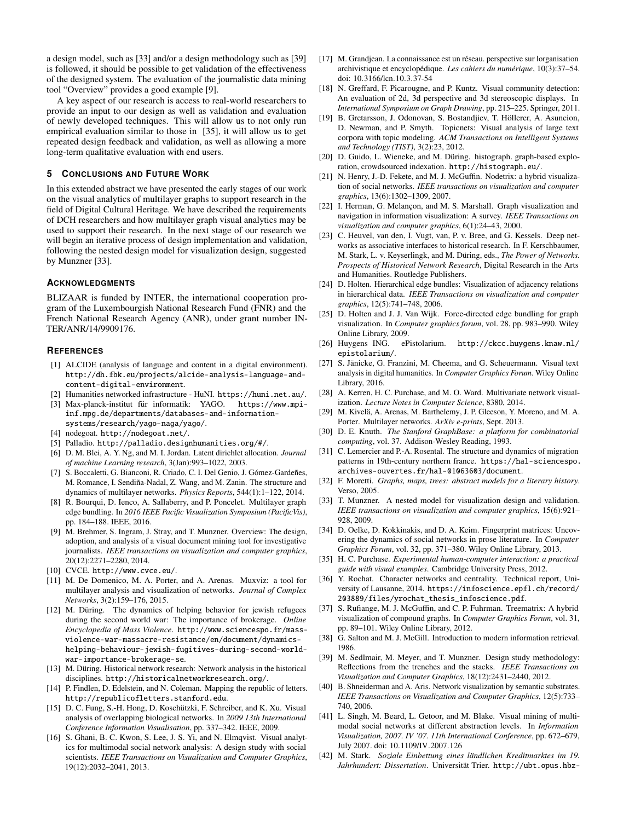a design model, such as [\[33\]](#page-3-40) and/or a design methodology such as [\[39\]](#page-3-41) is followed, it should be possible to get validation of the effectiveness of the designed system. The evaluation of the journalistic data mining tool "Overview" provides a good example [\[9\]](#page-3-10).

A key aspect of our research is access to real-world researchers to provide an input to our design as well as validation and evaluation of newly developed techniques. This will allow us to not only run empirical evaluation similar to those in [\[35\]](#page-3-39), it will allow us to get repeated design feedback and validation, as well as allowing a more long-term qualitative evaluation with end users.

### **5 CONCLUSIONS AND FUTURE WORK**

In this extended abstract we have presented the early stages of our work on the visual analytics of multilayer graphs to support research in the field of Digital Cultural Heritage. We have described the requirements of DCH researchers and how multilayer graph visual analytics may be used to support their research. In the next stage of our research we will begin an iterative process of design implementation and validation, following the nested design model for visualization design, suggested by Munzner [\[33\]](#page-3-40).

#### **ACKNOWLEDGMENTS**

BLIZAAR is funded by INTER, the international cooperation program of the Luxembourgish National Research Fund (FNR) and the French National Research Agency (ANR), under grant number IN-TER/ANR/14/9909176.

### **REFERENCES**

- <span id="page-3-15"></span>[1] ALCIDE (analysis of language and content in a digital environment). [http://dh.fbk.eu/projects/alcide-analysis-language-and](http://dh.fbk.eu/projects/alcide-analysis-language-and-content-digital-environment)[content-digital-environment](http://dh.fbk.eu/projects/alcide-analysis-language-and-content-digital-environment).
- <span id="page-3-13"></span>[2] Humanities networked infrastructure - HuNI. <https://huni.net.au/>.
- <span id="page-3-35"></span>[3] Max-planck-institut für informatik: YAGO. [https://www.mpi](https://www.mpi-inf.mpg.de/departments/databases-and-information-systems/research/yago-naga/yago/)[inf.mpg.de/departments/databases-and-information](https://www.mpi-inf.mpg.de/departments/databases-and-information-systems/research/yago-naga/yago/)[systems/research/yago-naga/yago/](https://www.mpi-inf.mpg.de/departments/databases-and-information-systems/research/yago-naga/yago/).
- <span id="page-3-16"></span>[4] nodegoat. <http://nodegoat.net/>.
- <span id="page-3-17"></span>[5] Palladio. <http://palladio.designhumanities.org/#/>.
- <span id="page-3-37"></span>[6] D. M. Blei, A. Y. Ng, and M. I. Jordan. Latent dirichlet allocation. *Journal of machine Learning research*, 3(Jan):993–1022, 2003.
- <span id="page-3-22"></span>[7] S. Boccaletti, G. Bianconi, R. Criado, C. I. Del Genio, J. Gómez-Gardeñes, M. Romance, I. Sendiña-Nadal, Z. Wang, and M. Zanin. The structure and dynamics of multilayer networks. *Physics Reports*, 544(1):1–122, 2014.
- <span id="page-3-30"></span>[8] R. Bourqui, D. Ienco, A. Sallaberry, and P. Poncelet. Multilayer graph edge bundling. In *2016 IEEE Pacific Visualization Symposium (PacificVis)*, pp. 184–188. IEEE, 2016.
- <span id="page-3-10"></span>[9] M. Brehmer, S. Ingram, J. Stray, and T. Munzner. Overview: The design, adoption, and analysis of a visual document mining tool for investigative journalists. *IEEE transactions on visualization and computer graphics*, 20(12):2271–2280, 2014.
- <span id="page-3-33"></span>[10] CVCE. <http://www.cvce.eu/>.
- <span id="page-3-23"></span>[11] M. De Domenico, M. A. Porter, and A. Arenas. Muxviz: a tool for multilayer analysis and visualization of networks. *Journal of Complex Networks*, 3(2):159–176, 2015.
- <span id="page-3-2"></span>[12] M. Düring. The dynamics of helping behavior for jewish refugees during the second world war: The importance of brokerage. *Online Encyclopedia of Mass Violence*. [http://www.sciencespo.fr/mass](http://www.sciencespo.fr/mass-violence-war-massacre-resistance/en/document/dynamics-helping-behaviour-jewish-fugitives-during-second-world-war-importance-brokerage-se)[violence-war-massacre-resistance/en/document/dynamics](http://www.sciencespo.fr/mass-violence-war-massacre-resistance/en/document/dynamics-helping-behaviour-jewish-fugitives-during-second-world-war-importance-brokerage-se)[helping-behaviour-jewish-fugitives-during-second-world](http://www.sciencespo.fr/mass-violence-war-massacre-resistance/en/document/dynamics-helping-behaviour-jewish-fugitives-during-second-world-war-importance-brokerage-se)[war-importance-brokerage-se](http://www.sciencespo.fr/mass-violence-war-massacre-resistance/en/document/dynamics-helping-behaviour-jewish-fugitives-during-second-world-war-importance-brokerage-se).
- <span id="page-3-18"></span>[13] M. Düring. Historical network research: Network analysis in the historical disciplines. <http://historicalnetworkresearch.org/>.
- <span id="page-3-3"></span>[14] P. Findlen, D. Edelstein, and N. Coleman. Mapping the republic of letters. <http://republicofletters.stanford.edu>.
- <span id="page-3-24"></span>[15] D. C. Fung, S.-H. Hong, D. Koschützki, F. Schreiber, and K. Xu. Visual analysis of overlapping biological networks. In *2009 13th International Conference Information Visualisation*, pp. 337–342. IEEE, 2009.
- <span id="page-3-19"></span>[16] S. Ghani, B. C. Kwon, S. Lee, J. S. Yi, and N. Elmqvist. Visual analytics for multimodal social network analysis: A design study with social scientists. *IEEE Transactions on Visualization and Computer Graphics*, 19(12):2032–2041, 2013.
- <span id="page-3-4"></span>[17] M. Grandjean. La connaissance est un réseau. perspective sur lorganisation archivistique et encyclopédique. Les cahiers du numérique, 10(3):37-54. doi: 10.3166/lcn.10.3.37-54
- <span id="page-3-25"></span>[18] N. Greffard, F. Picarougne, and P. Kuntz. Visual community detection: An evaluation of 2d, 3d perspective and 3d stereoscopic displays. In *International Symposium on Graph Drawing*, pp. 215–225. Springer, 2011.
- <span id="page-3-38"></span>B. Gretarsson, J. Odonovan, S. Bostandjiev, T. Höllerer, A. Asuncion, D. Newman, and P. Smyth. Topicnets: Visual analysis of large text corpora with topic modeling. *ACM Transactions on Intelligent Systems and Technology (TIST)*, 3(2):23, 2012.
- <span id="page-3-14"></span>[20] D. Guido, L. Wieneke, and M. Düring. histograph. graph-based exploration, crowdsourced indexation. <http://histograph.eu/>.
- <span id="page-3-26"></span>[21] N. Henry, J.-D. Fekete, and M. J. McGuffin. Nodetrix: a hybrid visualization of social networks. *IEEE transactions on visualization and computer graphics*, 13(6):1302–1309, 2007.
- <span id="page-3-31"></span>[22] I. Herman, G. Melançon, and M. S. Marshall. Graph visualization and navigation in information visualization: A survey. *IEEE Transactions on visualization and computer graphics*, 6(1):24–43, 2000.
- <span id="page-3-0"></span>[23] C. Heuvel, van den, I. Vugt, van, P. v. Bree, and G. Kessels. Deep networks as associative interfaces to historical research. In F. Kerschbaumer, M. Stark, L. v. Keyserlingk, and M. Düring, eds., *The Power of Networks*. *Prospects of Historical Network Research*, Digital Research in the Arts and Humanities. Routledge Publishers.
- <span id="page-3-28"></span>[24] D. Holten. Hierarchical edge bundles: Visualization of adjacency relations in hierarchical data. *IEEE Transactions on visualization and computer graphics*, 12(5):741–748, 2006.
- <span id="page-3-29"></span>[25] D. Holten and J. J. Van Wijk. Force-directed edge bundling for graph visualization. In *Computer graphics forum*, vol. 28, pp. 983–990. Wiley Online Library, 2009.
- <span id="page-3-12"></span>[26] Huygens ING. ePistolarium. [http://ckcc.huygens.knaw.nl/](http://ckcc.huygens.knaw.nl/epistolarium/) [epistolarium/](http://ckcc.huygens.knaw.nl/epistolarium/).
- <span id="page-3-11"></span>[27] S. Jänicke, G. Franzini, M. Cheema, and G. Scheuermann. Visual text analysis in digital humanities. In *Computer Graphics Forum*. Wiley Online Library, 2016.
- <span id="page-3-20"></span>[28] A. Kerren, H. C. Purchase, and M. O. Ward. Multivariate network visualization. *Lecture Notes in Computer Science*, 8380, 2014.
- <span id="page-3-1"></span>[29] M. Kivelä, A. Arenas, M. Barthelemy, J. P. Gleeson, Y. Moreno, and M. A. Porter. Multilayer networks. *ArXiv e-prints*, Sept. 2013.
- <span id="page-3-34"></span>[30] D. E. Knuth. *The Stanford GraphBase: a platform for combinatorial computing*, vol. 37. Addison-Wesley Reading, 1993.
- <span id="page-3-5"></span>[31] C. Lemercier and P.-A. Rosental. The structure and dynamics of migration patterns in 19th-century northern france. [https://hal-sciencespo.](https://hal-sciencespo.archives-ouvertes.fr/hal-01063603/document) [archives-ouvertes.fr/hal-01063603/document](https://hal-sciencespo.archives-ouvertes.fr/hal-01063603/document).
- <span id="page-3-8"></span>[32] F. Moretti. *Graphs, maps, trees: abstract models for a literary history*. Verso, 2005.
- <span id="page-3-40"></span>[33] T. Munzner. A nested model for visualization design and validation. *IEEE transactions on visualization and computer graphics*, 15(6):921– 928, 2009.
- <span id="page-3-9"></span>[34] D. Oelke, D. Kokkinakis, and D. A. Keim. Fingerprint matrices: Uncovering the dynamics of social networks in prose literature. In *Computer Graphics Forum*, vol. 32, pp. 371–380. Wiley Online Library, 2013.
- <span id="page-3-39"></span>[35] H. C. Purchase. *Experimental human-computer interaction: a practical guide with visual examples*. Cambridge University Press, 2012.
- <span id="page-3-7"></span>[36] Y. Rochat. Character networks and centrality. Technical report, University of Lausanne, 2014. [https://infoscience.epfl.ch/record/](https://infoscience.epfl.ch/record/203889/files/yrochat_thesis_infoscience.pdf) [203889/files/yrochat\\_thesis\\_infoscience.pdf](https://infoscience.epfl.ch/record/203889/files/yrochat_thesis_infoscience.pdf).
- <span id="page-3-27"></span>[37] S. Rufiange, M. J. McGuffin, and C. P. Fuhrman. Treematrix: A hybrid visualization of compound graphs. In *Computer Graphics Forum*, vol. 31, pp. 89–101. Wiley Online Library, 2012.
- <span id="page-3-36"></span>[38] G. Salton and M. J. McGill. Introduction to modern information retrieval. 1986.
- <span id="page-3-41"></span>[39] M. Sedlmair, M. Meyer, and T. Munzner. Design study methodology: Reflections from the trenches and the stacks. *IEEE Transactions on Visualization and Computer Graphics*, 18(12):2431–2440, 2012.
- <span id="page-3-32"></span>[40] B. Shneiderman and A. Aris. Network visualization by semantic substrates. *IEEE Transactions on Visualization and Computer Graphics*, 12(5):733– 740, 2006.
- <span id="page-3-21"></span>[41] L. Singh, M. Beard, L. Getoor, and M. Blake. Visual mining of multimodal social networks at different abstraction levels. In *Information Visualization, 2007. IV '07. 11th International Conference*, pp. 672–679, July 2007. doi: 10.1109/IV.2007.126
- <span id="page-3-6"></span>[42] M. Stark. *Soziale Einbettung eines ländlichen Kreditmarktes im 19.* Jahrhundert: Dissertation. Universität Trier. [http://ubt.opus.hbz-](http://ubt.opus.hbz-nrw.de/volltexte/2014/839/)